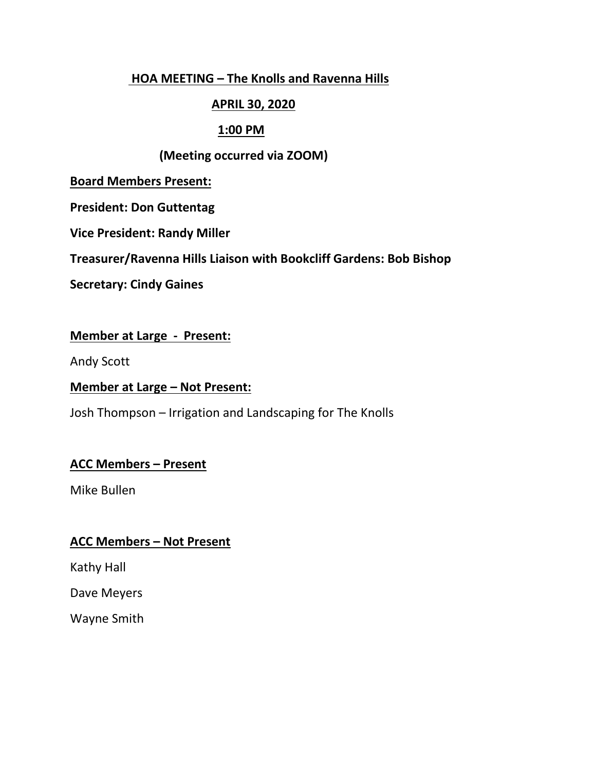### **HOA MEETING – The Knolls and Ravenna Hills**

## **APRIL 30, 2020**

### **1:00 PM**

### **(Meeting occurred via ZOOM)**

**Board Members Present:**

**President: Don Guttentag**

**Vice President: Randy Miller**

**Treasurer/Ravenna Hills Liaison with Bookcliff Gardens: Bob Bishop**

**Secretary: Cindy Gaines**

## **Member at Large - Present:**

Andy Scott

### **Member at Large – Not Present:**

Josh Thompson – Irrigation and Landscaping for The Knolls

# **ACC Members – Present**

Mike Bullen

### **ACC Members – Not Present**

Kathy Hall

Dave Meyers

Wayne Smith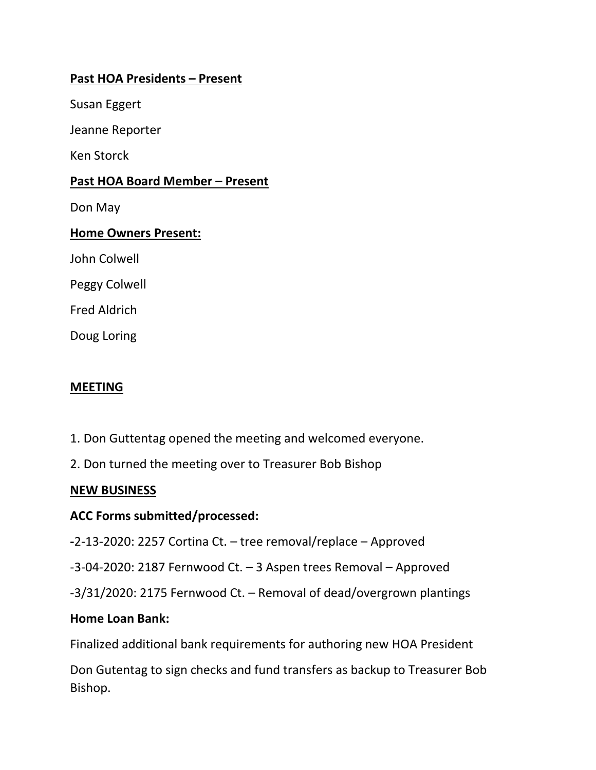# **Past HOA Presidents – Present**

Susan Eggert

Jeanne Reporter

Ken Storck

### **Past HOA Board Member – Present**

Don May

### **Home Owners Present:**

John Colwell

Peggy Colwell

Fred Aldrich

Doug Loring

### **MEETING**

- 1. Don Guttentag opened the meeting and welcomed everyone.
- 2. Don turned the meeting over to Treasurer Bob Bishop

### **NEW BUSINESS**

### **ACC Forms submitted/processed:**

**-**2-13-2020: 2257 Cortina Ct. – tree removal/replace – Approved

-3-04-2020: 2187 Fernwood Ct. – 3 Aspen trees Removal – Approved

-3/31/2020: 2175 Fernwood Ct. – Removal of dead/overgrown plantings

### **Home Loan Bank:**

Finalized additional bank requirements for authoring new HOA President

Don Gutentag to sign checks and fund transfers as backup to Treasurer Bob Bishop.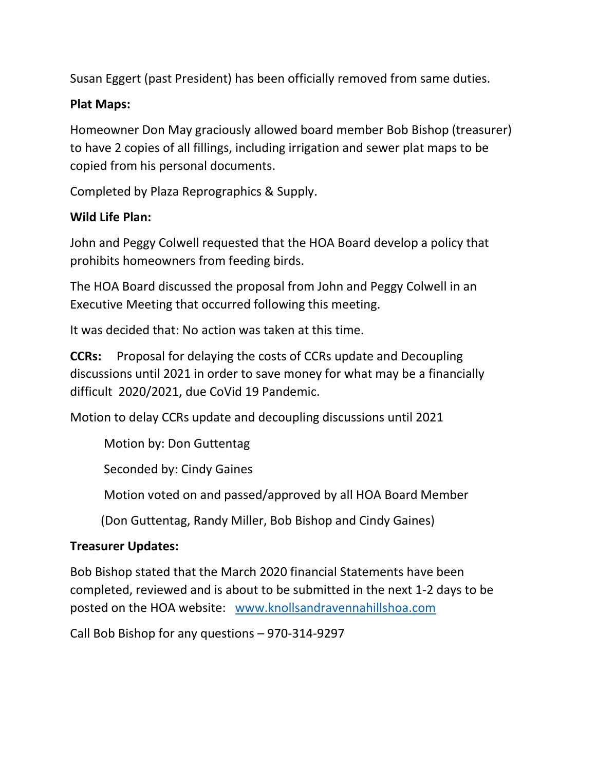Susan Eggert (past President) has been officially removed from same duties.

# **Plat Maps:**

Homeowner Don May graciously allowed board member Bob Bishop (treasurer) to have 2 copies of all fillings, including irrigation and sewer plat maps to be copied from his personal documents.

Completed by Plaza Reprographics & Supply.

## **Wild Life Plan:**

John and Peggy Colwell requested that the HOA Board develop a policy that prohibits homeowners from feeding birds.

The HOA Board discussed the proposal from John and Peggy Colwell in an Executive Meeting that occurred following this meeting.

It was decided that: No action was taken at this time.

**CCRs:** Proposal for delaying the costs of CCRs update and Decoupling discussions until 2021 in order to save money for what may be a financially difficult 2020/2021, due CoVid 19 Pandemic.

Motion to delay CCRs update and decoupling discussions until 2021

Motion by: Don Guttentag

Seconded by: Cindy Gaines

Motion voted on and passed/approved by all HOA Board Member

(Don Guttentag, Randy Miller, Bob Bishop and Cindy Gaines)

### **Treasurer Updates:**

Bob Bishop stated that the March 2020 financial Statements have been completed, reviewed and is about to be submitted in the next 1-2 days to be posted on the HOA website: [www.knollsandravennahillshoa.com](http://www.knollsandravennahillshoa.com/)

Call Bob Bishop for any questions – 970-314-9297